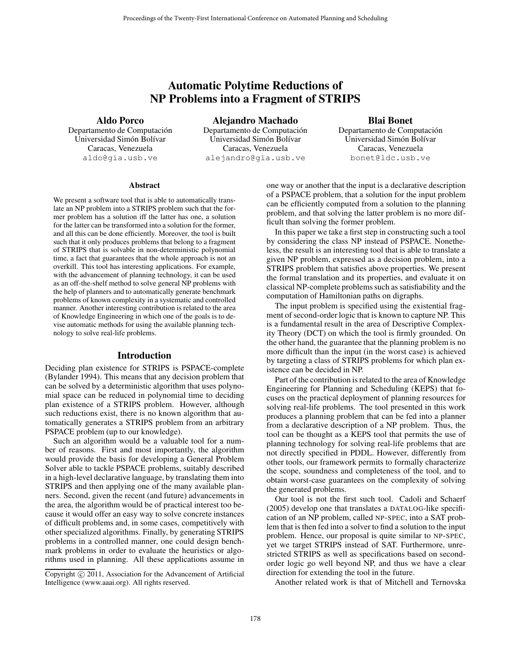# Automatic Polytime Reductions of NP Problems into a Fragment of STRIPS

Aldo Porco

Departamento de Computación Universidad Simón Bolívar Caracas, Venezuela aldo@gia.usb.ve

Alejandro Machado Departamento de Computación Universidad Simón Bolívar Caracas, Venezuela alejandro@gia.usb.ve

# Blai Bonet

Departamento de Computación Universidad Simón Bolívar Caracas, Venezuela bonet@ldc.usb.ve

### Abstract

We present a software tool that is able to automatically translate an NP problem into a STRIPS problem such that the former problem has a solution iff the latter has one, a solution for the latter can be transformed into a solution for the former, and all this can be done efficiently. Moreover, the tool is built such that it only produces problems that belong to a fragment of STRIPS that is solvable in non-deterministic polynomial time, a fact that guarantees that the whole approach is not an overkill. This tool has interesting applications. For example, with the advancement of planning technology, it can be used as an off-the-shelf method to solve general NP problems with the help of planners and to automatically generate benchmark problems of known complexity in a systematic and controlled manner. Another interesting contribution is related to the area of Knowledge Engineering in which one of the goals is to devise automatic methods for using the available planning technology to solve real-life problems. Proceedings of the 1 wears-1 earl is an international Conference on Automated Thuman Basis Concernence on Alejandro Machado Basis Concernence on Alejandro Machado Basis Concernence on Automatic Conference on Automatic Con

### Introduction

Deciding plan existence for STRIPS is PSPACE-complete (Bylander 1994). This means that any decision problem that can be solved by a deterministic algorithm that uses polynomial space can be reduced in polynomial time to deciding plan existence of a STRIPS problem. However, although such reductions exist, there is no known algorithm that automatically generates a STRIPS problem from an arbitrary PSPACE problem (up to our knowledge).

Such an algorithm would be a valuable tool for a number of reasons. First and most importantly, the algorithm would provide the basis for developing a General Problem Solver able to tackle PSPACE problems, suitably described in a high-level declarative language, by translating them into STRIPS and then applying one of the many available planners. Second, given the recent (and future) advancements in the area, the algorithm would be of practical interest too because it would offer an easy way to solve concrete instances of difficult problems and, in some cases, competitively with other specialized algorithms. Finally, by generating STRIPS problems in a controlled manner, one could design benchmark problems in order to evaluate the heuristics or algorithms used in planning. All these applications assume in

one way or another that the input is a declarative description of a PSPACE problem, that a solution for the input problem can be efficiently computed from a solution to the planning problem, and that solving the latter problem is no more difficult than solving the former problem.

In this paper we take a first step in constructing such a tool by considering the class NP instead of PSPACE. Nonetheless, the result is an interesting tool that is able to translate a given NP problem, expressed as a decision problem, into a STRIPS problem that satisfies above properties. We present the formal translation and its properties, and evaluate it on classical NP-complete problems such as satisfiability and the computation of Hamiltonian paths on digraphs.

The input problem is specified using the existential fragment of second-order logic that is known to capture NP. This is a fundamental result in the area of Descriptive Complexity Theory (DCT) on which the tool is firmly grounded. On the other hand, the guarantee that the planning problem is no more difficult than the input (in the worst case) is achieved by targeting a class of STRIPS problems for which plan existence can be decided in NP.

Part of the contribution is related to the area of Knowledge Engineering for Planning and Scheduling (KEPS) that focuses on the practical deployment of planning resources for solving real-life problems. The tool presented in this work produces a planning problem that can be fed into a planner from a declarative description of a NP problem. Thus, the tool can be thought as a KEPS tool that permits the use of planning technology for solving real-life problems that are not directly specified in PDDL. However, differently from other tools, our framework permits to formally characterize the scope, soundness and completeness of the tool, and to obtain worst-case guarantees on the complexity of solving the generated problems.

Our tool is not the first such tool. Cadoli and Schaerf (2005) develop one that translates a DATALOG-like specification of an NP problem, called NP-SPEC, into a SAT problem that is then fed into a solver to find a solution to the input problem. Hence, our proposal is quite similar to NP-SPEC, yet we target STRIPS instead of SAT. Furthermore, unrestricted STRIPS as well as specifications based on secondorder logic go well beyond NP, and thus we have a clear direction for extending the tool in the future.

Another related work is that of Mitchell and Ternovska

Copyright © 2011, Association for the Advancement of Artificial Intelligence (www.aaai.org). All rights reserved.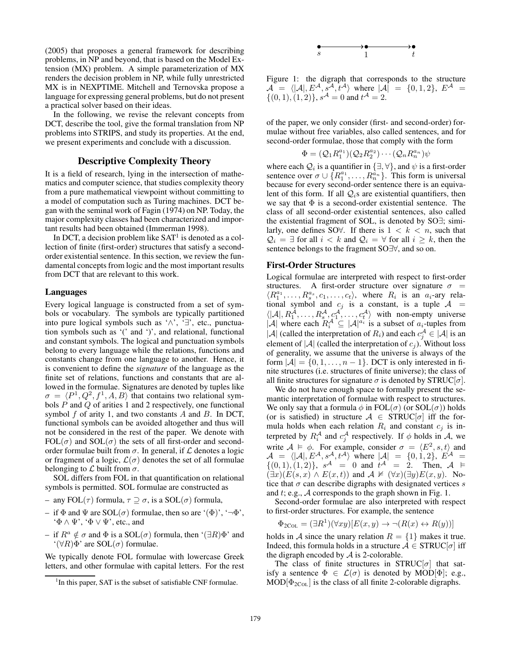(2005) that proposes a general framework for describing problems, in NP and beyond, that is based on the Model Extension (MX) problem. A simple parameterization of MX renders the decision problem in NP, while fully unrestricted MX is in NEXPTIME. Mitchell and Ternovska propose a language for expressing general problems, but do not present a practical solver based on their ideas.

In the following, we revise the relevant concepts from DCT, describe the tool, give the formal translation from NP problems into STRIPS, and study its properties. At the end, we present experiments and conclude with a discussion.

# Descriptive Complexity Theory

It is a field of research, lying in the intersection of mathematics and computer science, that studies complexity theory from a pure mathematical viewpoint without committing to a model of computation such as Turing machines. DCT began with the seminal work of Fagin (1974) on NP. Today, the major complexity classes had been characterized and important results had been obtained (Immerman 1998).

In DCT, a decision problem like  $SAT<sup>1</sup>$  is denoted as a collection of finite (first-order) structures that satisfy a secondorder existential sentence. In this section, we review the fundamental concepts from logic and the most important results from DCT that are relevant to this work.

### Languages

Every logical language is constructed from a set of symbols or vocabulary. The symbols are typically partitioned into pure logical symbols such as '∧', '∃', etc., punctuation symbols such as '(' and ')', and relational, functional and constant symbols. The logical and punctuation symbols belong to every language while the relations, functions and constants change from one language to another. Hence, it is convenient to define the *signature* of the language as the finite set of relations, functions and constants that are allowed in the formulae. Signatures are denoted by tuples like  $\sigma = \langle P^1, Q^2, f^1, A, B \rangle$  that contains two relational symbols P and Q of arities 1 and 2 respectively, one functional symbol  $f$  of arity 1, and two constants  $A$  and  $B$ . In DCT, functional symbols can be avoided altogether and thus will not be considered in the rest of the paper. We denote with  $FOL(\sigma)$  and  $SOL(\sigma)$  the sets of all first-order and secondorder formulae built from  $\sigma$ . In general, if  $\mathcal L$  denotes a logic or fragment of a logic,  $\mathcal{L}(\sigma)$  denotes the set of all formulae belonging to  $\mathcal L$  built from  $\sigma$ .

SOL differs from FOL in that quantification on relational symbols is permitted. SOL formulae are constructed as

- any FOL(τ) formula, τ ⊇ σ, is a SOL(σ) formula,
- if  $\Phi$  and  $\Psi$  are SOL( $\sigma$ ) formulae, then so are '( $\Phi$ )', ' $\neg \Phi$ ',  $\Phi \wedge \Psi$ ', ' $\Phi \vee \Psi$ ', etc., and
- if  $R^a \notin \sigma$  and  $\Phi$  is a SOL( $\sigma$ ) formula, then '( $\exists R$ ) $\Phi$ ' and  $\mathcal{L}(\forall R)\Phi$ ' are SOL( $\sigma$ ) formulae.

We typically denote FOL formulae with lowercase Greek letters, and other formulae with capital letters. For the rest



Figure 1: the digraph that corresponds to the structure  $A = \langle |A|, E^{\mathcal{A}}, s^{\mathcal{A}}, t^{\mathcal{A}} \rangle$  where  $|A| = \{0, 1, 2\}, E^{\mathcal{A}} =$  $\{(0,1), (1,2)\}\$ ,  $s^{\mathcal{A}} = 0$  and  $t^{\mathcal{A}} = 2$ .

of the paper, we only consider (first- and second-order) formulae without free variables, also called sentences, and for second-order formulae, those that comply with the form

$$
\Phi = (\mathcal{Q}_1 R_1^{a_1})(\mathcal{Q}_2 R_2^{a_2})\cdots(\mathcal{Q}_n R_n^{a_n})\psi
$$

where each  $\mathcal{Q}_i$  is a quantifier in  $\{\exists, \forall\}$ , and  $\psi$  is a first-order sentence over  $\sigma \cup \{R_1^{a_1}, \ldots, R_n^{\tilde{a}_n}\}\.$  This form is universal because for every second-order sentence there is an equivalent of this form. If all  $Q_i$ s are existential quantifiers, then we say that  $\Phi$  is a second-order existential sentence. The class of all second-order existential sentences, also called the existential fragment of SOL, is denoted by SO∃; similarly, one defines SO $\forall$ . If there is  $1 \leq k \leq n$ , such that  $\mathcal{Q}_i = \exists$  for all  $i < k$  and  $\mathcal{Q}_i = \forall$  for all  $i \geq k$ , then the sentence belongs to the fragment SO∃∀, and so on.

### First-Order Structures

Logical formulae are interpreted with respect to first-order structures. A first-order structure over signature  $\sigma$  =  $\langle R_1^{a_1}, \ldots, R_s^{a_s}, c_1, \ldots, c_t \rangle$ , where  $R_i$  is an  $a_i$ -ary relational symbol and  $c_j$  is a constant, is a tuple  $A =$  $\langle |A|, R_1^A, \ldots, R_s^A, c_1^A, \ldots, c_t^A \rangle$  with non-empty universe  $|\mathcal{A}|$  where each  $R_i^{\mathcal{A}} \subseteq |\mathcal{A}|^{a_i}$  is a subset of  $a_i$ -tuples from  $|\mathcal{A}|$  (called the interpretation of  $R_i$ ) and each  $c_j^{\mathcal{A}} \in |\mathcal{A}|$  is an element of  $|\mathcal{A}|$  (called the interpretation of  $c_j$ ). Without loss of generality, we assume that the universe is always of the form  $|A| = \{0, 1, \ldots, n-1\}$ . DCT is only interested in finite structures (i.e. structures of finite universe); the class of all finite structures for signature  $\sigma$  is denoted by STRUC[ $\sigma$ ].

We do not have enough space to formally present the semantic interpretation of formulae with respect to structures. We only say that a formula  $\phi$  in FOL( $\sigma$ ) (or SOL( $\sigma$ )) holds (or is satisfied) in structure  $A \in STRUC[\sigma]$  iff the formula holds when each relation  $R_i$  and constant  $c_j$  is interpreted by  $R_i^{\mathcal{A}}$  and  $c_j^{\mathcal{A}}$  respectively. If  $\phi$  holds in  $\mathcal{A}$ , we write  $A \models \phi$ . For example, consider  $\sigma = \langle E^2, s, t \rangle$  and  $\mathcal{A} = \langle |A|, E^{\mathcal{A}}, s^{\mathcal{A}}, t^{\mathcal{A}} \rangle$  where  $|\mathcal{A}| = \{0, 1, 2\}, E^{\mathcal{A}} =$  $\{(0,1), (1,2)\}\$ ,  $s^{\mathcal{A}} = 0$  and  $t^{\mathcal{A}} = 2$ . Then,  $\mathcal{A} \models$  $(\exists x)(E(s, x) \wedge E(x, t))$  and  $\mathcal{A} \not\vDash (\forall x)(\exists y)E(x, y)$ . Notice that  $\sigma$  can describe digraphs with designated vertices s and  $t$ ; e.g.,  $A$  corresponds to the graph shown in Fig. 1.

Second-order formulae are also interpreted with respect to first-order structures. For example, the sentence

$$
\Phi_{2\text{Col}} = (\exists R^1)(\forall xy)[E(x, y) \to \neg(R(x) \leftrightarrow R(y))]
$$

holds in A since the unary relation  $R = \{1\}$  makes it true. Indeed, this formula holds in a structure  $A \in \text{STRUC}[\sigma]$  iff the digraph encoded by  $A$  is 2-colorable.

The class of finite structures in STRUC $[\sigma]$  that satisfy a sentence  $\Phi \in \mathcal{L}(\sigma)$  is denoted by MOD[ $\Phi$ ]; e.g.,  $MOD[\Phi_{2CoL}]$  is the class of all finite 2-colorable digraphs.

<sup>&</sup>lt;sup>1</sup>In this paper, SAT is the subset of satisfiable CNF formulae.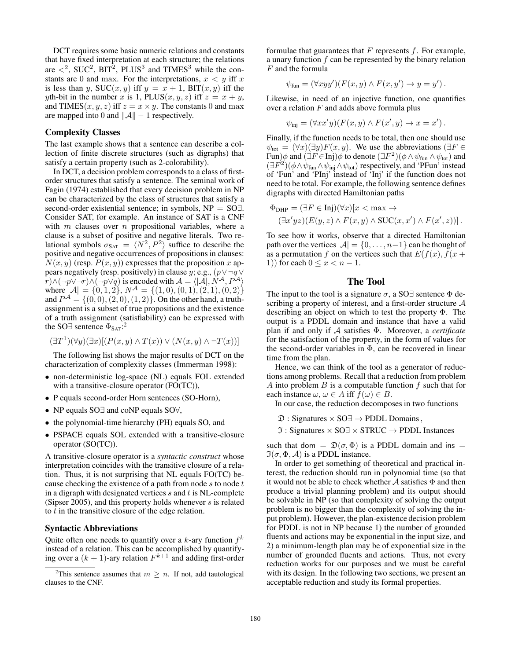DCT requires some basic numeric relations and constants that have fixed interpretation at each structure; the relations are  $\langle 2, SUC^2, BIT^2, PLUS^3 \rangle$  and TIMES<sup>3</sup> while the constants are 0 and max. For the interpretations,  $x < y$  iff x is less than y,  $SUC(x, y)$  iff  $y = x + 1$ ,  $BIT(x, y)$  iff the yth-bit in the number x is 1, PLUS(x, y, z) iff  $z = x + y$ , and TIMES $(x, y, z)$  iff  $z = x \times y$ . The constants 0 and max are mapped into 0 and  $||A|| - 1$  respectively.

# Complexity Classes

The last example shows that a sentence can describe a collection of finite discrete structures (such as digraphs) that satisfy a certain property (such as 2-colorability).

In DCT, a decision problem corresponds to a class of firstorder structures that satisfy a sentence. The seminal work of Fagin (1974) established that every decision problem in NP can be characterized by the class of structures that satisfy a second-order existential sentence; in symbols, NP = SO∃. Consider SAT, for example. An instance of SAT is a CNF with  $m$  clauses over  $n$  propositional variables, where a clause is a subset of positive and negative literals. Two relational symbols  $\sigma_{\text{SAT}} = \langle N^2, P^2 \rangle$  suffice to describe the positive and negative occurrences of propositions in clauses:  $N(x, y)$  (resp.  $P(x, y)$ ) expresses that the proposition x appears negatively (resp. positively) in clause y; e.g.,  $(p \vee \neg q \vee$  $r) \wedge (\neg p \vee \neg r) \wedge (\neg p \vee q)$  is encoded with  $\mathcal{A} = \langle |A|, N^{\mathcal{A}}, P^{\mathcal{A}} \rangle$ where  $\mathcal{A} = \{0, 1, 2\}$ ,  $N^{\mathcal{A}} = \{(1, 0), (0, 1), (2, 1), (0, 2)\}$ and  $P^{\mathcal{A}} = \{(0,0), (2,0), (1,2)\}$ . On the other hand, a truthassignment is a subset of true propositions and the existence of a truth assignment (satisfiability) can be expressed with the SO $\exists$  sentence  $\Phi_{\text{SAT}}$ :<sup>2</sup>

$$
(\exists T^1)(\forall y)(\exists x)[(P(x,y) \land T(x)) \lor (N(x,y) \land \neg T(x))]
$$

The following list shows the major results of DCT on the characterization of complexity classes (Immerman 1998):

- non-deterministic log-space (NL) equals FOL extended with a transitive-closure operator (FO(TC)),
- P equals second-order Horn sentences (SO-Horn),
- NP equals SO∃ and coNP equals SO∀,
- the polynomial-time hierarchy (PH) equals SO, and
- PSPACE equals SOL extended with a transitive-closure operator (SO(TC)).

A transitive-closure operator is a *syntactic construct* whose interpretation coincides with the transitive closure of a relation. Thus, it is not surprising that NL equals FO(TC) because checking the existence of a path from node  $s$  to node  $t$ in a digraph with designated vertices  $s$  and  $t$  is NL-complete (Sipser 2005), and this property holds whenever  $s$  is related to  $t$  in the transitive closure of the edge relation.

### Syntactic Abbreviations

Quite often one needs to quantify over a  $k$ -ary function  $f^k$ instead of a relation. This can be accomplished by quantifying over a  $(k + 1)$ -ary relation  $F^{k+1}$  and adding first-order

formulae that guarantees that  $F$  represents  $f$ . For example, a unary function  $f$  can be represented by the binary relation  ${\cal F}$  and the formula

$$
\psi_{\text{fun}} = (\forall x y y') (F(x, y) \land F(x, y') \rightarrow y = y').
$$

Likewise, in need of an injective function, one quantifies over a relation  $F$  and adds above formula plus

$$
\psi_{\text{inj}} = (\forall xx'y)(F(x, y) \land F(x', y) \to x = x').
$$

Finally, if the function needs to be total, then one should use  $\psi_{\text{tot}} = (\forall x)(\exists y)F(x, y)$ . We use the abbreviations ( $\exists F \in$ Fun) $\phi$  and  $(\exists F \in Inj) \phi$  to denote  $(\exists F^2)(\phi \wedge \psi_{fun} \wedge \psi_{tot})$  and  $(\exists F^2)(\phi \wedge \psi_{\text{fun}} \wedge \psi_{\text{inj}} \wedge \psi_{\text{tot}})$  respectively, and 'PFun' instead of 'Fun' and 'PInj' instead of 'Inj' if the function does not need to be total. For example, the following sentence defines digraphs with directed Hamiltonian paths

$$
\Phi_{\text{DHP}} = (\exists F \in \text{Inj})(\forall x)[x < \max \rightarrow
$$
  

$$
(\exists x'yz)(E(y, z) \land F(x, y) \land \text{SUC}(x, x') \land F(x', z))].
$$

To see how it works, observe that a directed Hamiltonian path over the vertices  $|\mathcal{A}| = \{0, \ldots, n-1\}$  can be thought of as a permutation f on the vertices such that  $E(f(x), f(x))$ 1)) for each  $0 \leq x < n-1$ .

## The Tool

The input to the tool is a signature  $\sigma$ , a SO∃ sentence  $\Phi$  describing a property of interest, and a first-order structure A describing an object on which to test the property Φ. The output is a PDDL domain and instance that have a valid plan if and only if A satisfies Φ. Moreover, a *certificate* for the satisfaction of the property, in the form of values for the second-order variables in  $\Phi$ , can be recovered in linear time from the plan.

Hence, we can think of the tool as a generator of reductions among problems. Recall that a reduction from problem A into problem  $B$  is a computable function  $f$  such that for each instance  $\omega, \omega \in A$  iff  $f(\omega) \in B$ .

In our case, the reduction decomposes in two functions

 $\mathfrak{D}:$  Signatures  $\times$  SO $\exists \rightarrow$  PDDL Domains,

 $\Im$  : Signatures  $\times$  SO $\exists$   $\times$  STRUC  $\rightarrow$  PDDL Instances

such that dom =  $\mathfrak{D}(\sigma, \Phi)$  is a PDDL domain and ins =  $\Im(\sigma, \Phi, A)$  is a PDDL instance.

In order to get something of theoretical and practical interest, the reduction should run in polynomial time (so that it would not be able to check whether  $A$  satisfies  $\Phi$  and then produce a trivial planning problem) and its output should be solvable in NP (so that complexity of solving the output problem is no bigger than the complexity of solving the input problem). However, the plan-existence decision problem for PDDL is not in NP because 1) the number of grounded fluents and actions may be exponential in the input size, and 2) a minimum-length plan may be of exponential size in the number of grounded fluents and actions. Thus, not every reduction works for our purposes and we must be careful with its design. In the following two sections, we present an acceptable reduction and study its formal properties.

<sup>&</sup>lt;sup>2</sup>This sentence assumes that  $m \geq n$ . If not, add tautological clauses to the CNF.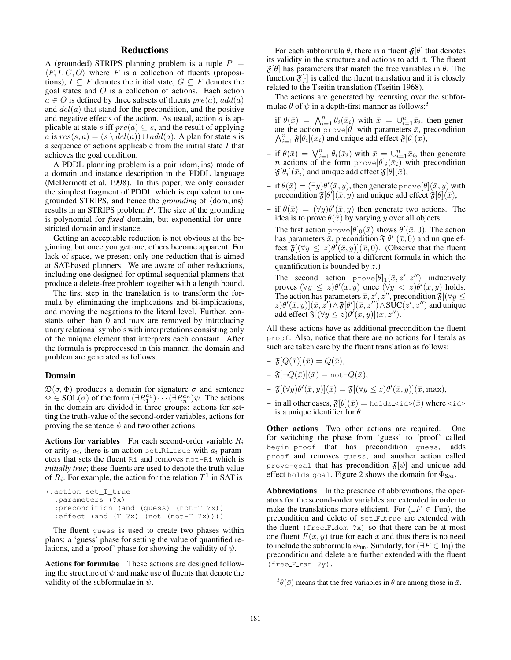# **Reductions**

A (grounded) STRIPS planning problem is a tuple  $P =$  $\langle F, I, G, O \rangle$  where F is a collection of fluents (propositions),  $I \subseteq F$  denotes the initial state,  $G \subseteq F$  denotes the goal states and O is a collection of actions. Each action  $a \in O$  is defined by three subsets of fluents  $pre(a)$ ,  $add(a)$ and  $del(a)$  that stand for the precondition, and the positive and negative effects of the action. As usual, action  $a$  is applicable at state s iff  $pre(a) \subseteq s$ , and the result of applying a is  $res(s, a) = (s \setminus del(a)) \cup add(a)$ . A plan for state s is a sequence of actions applicable from the initial state  $I$  that achieves the goal condition.

A PDDL planning problem is a pair  $\langle$  dom, ins $\rangle$  made of a domain and instance description in the PDDL language (McDermott et al. 1998). In this paper, we only consider the simplest fragment of PDDL which is equivalent to ungrounded STRIPS, and hence the *grounding* of  $\langle$  dom, ins $\rangle$ results in an STRIPS problem P. The size of the grounding is polynomial for *fixed* domain, but exponential for unrestricted domain and instance.

Getting an acceptable reduction is not obvious at the beginning, but once you get one, others become apparent. For lack of space, we present only one reduction that is aimed at SAT-based planners. We are aware of other reductions, including one designed for optimal sequential planners that produce a delete-free problem together with a length bound.

The first step in the translation is to transform the formula by eliminating the implications and bi-implications, and moving the negations to the literal level. Further, constants other than 0 and max are removed by introducing unary relational symbols with interpretations consisting only of the unique element that interprets each constant. After the formula is preprocessed in this manner, the domain and problem are generated as follows.

### Domain

 $\mathfrak{D}(\sigma, \Phi)$  produces a domain for signature  $\sigma$  and sentence  $\Phi \in SOL(\sigma)$  of the form  $(\exists R_1^{a_1}) \cdots (\exists R_n^{a_n}) \psi$ . The actions in the domain are divided in three groups: actions for setting the truth-value of the second-order variables, actions for proving the sentence  $\psi$  and two other actions.

Actions for variables For each second-order variable  $R_i$ or arity  $a_i$ , there is an action set\_Ri\_true with  $a_i$  parameters that sets the fluent Ri and removes not-Ri which is *initially true*; these fluents are used to denote the truth value of  $R_i$ . For example, the action for the relation  $T^1$  in SAT is

```
(:action set_T_true
 :parameters (?x)
 :precondition (and (guess) (not-T ?x))
 :=\text{effect} (and (T ?x) (not (not-T ?x))))
```
The fluent guess is used to create two phases within plans: a 'guess' phase for setting the value of quantified relations, and a 'proof' phase for showing the validity of  $\psi$ .

Actions for formulae These actions are designed following the structure of  $\psi$  and make use of fluents that denote the validity of the subformulae in  $\psi$ .

For each subformula  $\theta$ , there is a fluent  $\mathfrak{F}[\theta]$  that denotes its validity in the structure and actions to add it. The fluent  $\mathfrak{F}[\theta]$  has parameters that match the free variables in  $\theta$ . The function  $\mathfrak{F}[\cdot]$  is called the fluent translation and it is closely related to the Tseitin translation (Tseitin 1968).

The actions are generated by recursing over the subformulae  $\theta$  of  $\psi$  in a depth-first manner as follows:<sup>3</sup>

- if  $\theta(\bar{x}) = \bigwedge_{i=1}^n \theta_i(\bar{x}_i)$  with  $\bar{x} = \bigcup_{i=1}^n \bar{x}_i$ , then generate the action  $\text{prove}[\theta]$  with parameters  $\bar{x}$ , precondition  $\bigwedge_{i=1}^n \mathfrak{F}[\theta_i](\bar{x}_i)$  and unique add effect  $\mathfrak{F}[\theta](\bar{x})$ ,
- if  $\theta(\bar{x}) = \bigvee_{i=1}^n \theta_i(\bar{x}_i)$  with  $\bar{x} = \bigcup_{i=1}^n \bar{x}_i$ , then generate *n* actions of the form  $\text{prove}[\theta]_i(\bar{x}_i)$  with precondition  $\mathfrak{F}[\theta_i](\bar{x}_i)$  and unique add effect  $\mathfrak{F}[\theta](\bar{x}),$
- $-$  if  $\theta(\bar{x}) = (\exists y)\theta'(\bar{x}, y)$ , then generate  $\text{prove}[\theta](\bar{x}, y)$  with precondition  $\mathfrak{F}[\theta](\bar{x}, y)$  and unique add effect  $\mathfrak{F}[\theta](\bar{x})$ ,
- if  $\theta(\bar{x}) = (\forall y)\theta'(\bar{x}, y)$  then generate two actions. The idea is to prove  $\theta(\bar{x})$  by varying y over all objects.

The first action  $\text{prove}[\theta]_0(\bar{x})$  shows  $\theta'(\bar{x}, 0)$ . The action has parameters  $\bar{\bar{x}}$ , precondition  $\mathfrak{F}[\theta'](\bar{x},0)$  and unique effect  $\mathfrak{F}[(\forall y \leq z)\theta'(\bar{x}, y)](\bar{x}, 0)$ . (Observe that the fluent translation is applied to a different formula in which the quantification is bounded by z.)

The second action  $\text{prove}[\theta]_1(\bar{x}, z', z'')$  inductively proves  $(\forall y \leq z) \theta'(x, y)$  once  $(\forall y < z) \theta'(x, y)$  holds. The action has parameters  $\bar{x}, z', z''$ , precondition  $\mathfrak{F}[(\forall y \leq$  $(z)\theta'(\bar{x},y)](\bar{x},\bar{z}') \wedge \mathfrak{F}[\theta'](\bar{x},z'') \wedge \text{SUC}(z',z'')$  and unique add effect  $\mathfrak{F}[(\forall y \leq z)\theta'(\bar{x}, y)](\bar{x}, z'')$ .

All these actions have as additional precondition the fluent proof. Also, notice that there are no actions for literals as such are taken care by the fluent translation as follows:

- $-\mathfrak{F}[Q(\bar{x})](\bar{x})=Q(\bar{x}),$
- $-\mathfrak{F}[\neg Q(\bar{x})](\bar{x}) = \text{not} \, \neg Q(\bar{x}),$
- $-\mathfrak{F}[(\forall y)\theta'(\bar{x},y)](\bar{x}) = \mathfrak{F}[(\forall y \leq z)\theta'(\bar{x},y)](\bar{x},\text{max}),$
- in all other cases,  $\mathfrak{F}[\theta](\bar{x}) = \text{holds\_sid>}(\bar{x})$  where <id> is a unique identifier for  $\theta$ .

**Other actions** Two other actions are required. One for switching the phase from 'guess' to 'proof' called begin-proof that has precondition guess, adds proof and removes guess, and another action called prove-goal that has precondition  $\mathfrak{F}[\psi]$  and unique add effect holds goal. Figure 2 shows the domain for  $\Phi_{\text{SAT}}$ .

Abbreviations In the presence of abbreviations, the operators for the second-order variables are extended in order to make the translations more efficient. For ( $\exists F \in \text{Fun}$ ), the precondition and delete of set F true are extended with the fluent (free  $F$  dom  $?x$ ) so that there can be at most one fluent  $F(x, y)$  true for each x and thus there is no need to include the subformula  $\psi_{\text{fun}}$ . Similarly, for ( $\exists F \in \text{Inj}$ ) the precondition and delete are further extended with the fluent (free F ran ?y).

 $3\theta(\bar{x})$  means that the free variables in  $\theta$  are among those in  $\bar{x}$ .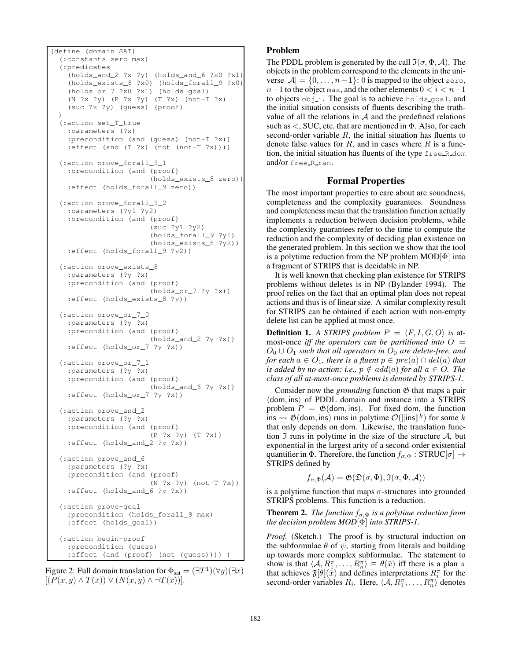```
(define (domain SAT)
(:constants zero max)
(:predicates
   (holds_and_2 ?x ?y) (holds_and_6 ?x0 ?x1)
   (holds_exists_8 ?x0) (holds_forall_9 ?x0)
  (holds_or_7 ?x0 ?x1) (holds_goal)
  (N ?x ?y) (P ?x ?y) (T ?x) (not-T ?x)
  (suc ?x ?y) (guess) (proof)
)
(:action set_T_true
  :parameters (?x)
  :precondition (and (guess) (not-T ?x))
  :effect (and (T ?x) (not (not-T ?x))))
(:action prove_forall_9_1
  :precondition (and (proof)
                      (holds_exists_8 zero))
  :effect (holds_forall_9 zero))
(:action prove_forall_9_2
  :parameters (?y1 ?y2)
  :precondition (and (proof)
                      (suc ?y1 ?y2)
                      (holds_forall_9 ?y1)
                      (holds\_exists_8 ?y2))
  :effect (holds_forall_9 ?y2))
(:action prove_exists_8
  :parameters (?y ?x)
  :precondition (and (proof)
                      (holds_or_7 ?y ?x))
  :effect (holds_exists_8 ?y))
(:action prove_or_7_0
  :parameters (?y ?x)
  :precondition (and (proof)
                      (holds_and_2 ?y ?x))
  :effect (holds_or_7 ?y ?x))
(:action prove_or_7_1
  :parameters (?y ?x)
  :precondition (and (proof)
                      (holds_and_6 ?y ?x))
  :effect (holds_or_7 ?y ?x))
(:action prove_and_2
  :parameters (?y ?x)
  :precondition (and (proof)
                      (P ?x ?y) (T ?x))
  :effect (holds_and_2 ?y ?x))
(:action prove_and_6
  :parameters (?y ?x)
  :precondition (and (proof)
                      (N ?x ?y) (not-T ?x))
  :effect (holds_and_6 ?y ?x))
(:action prove-goal
  :precondition (holds_forall_9 max)
  :effect (holds_goal))
(:action begin-proof
  :precondition (guess)
  :effect (and (proof) (not (guess)))) )
```
Figure 2: Full domain translation for  $\Phi_{\text{sat}} = (\exists T^{1})(\forall y)(\exists x)$  $[(P(x,y) \wedge T(x)) \vee (N(x,y) \wedge \neg T(x))].$ 

# Problem

The PDDL problem is generated by the call  $\mathfrak{I}(\sigma, \Phi, \mathcal{A})$ . The objects in the problem correspond to the elements in the universe  $|A| = \{0, \ldots, n-1\}$ : 0 is mapped to the object zero,  $n-1$  to the object max, and the other elements  $0 < i < n-1$ to objects obj i. The goal is to achieve holds goal, and the initial situation consists of fluents describing the truthvalue of all the relations in  $A$  and the predefined relations such as  $\lt$ , SUC, etc. that are mentioned in  $\Phi$ . Also, for each second-order variable  $R$ , the initial situation has fluents to denote false values for  $R$ , and in cases where  $R$  is a function, the initial situation has fluents of the type free R dom and/or free\_R\_ran.

# Formal Properties

The most important properties to care about are soundness, completeness and the complexity guarantees. Soundness and completeness mean that the translation function actually implements a reduction between decision problems, while the complexity guarantees refer to the time to compute the reduction and the complexity of deciding plan existence on the generated problem. In this section we show that the tool is a polytime reduction from the NP problem  $MOD[\Phi]$  into a fragment of STRIPS that is decidable in NP.

It is well known that checking plan existence for STRIPS problems without deletes is in NP (Bylander 1994). The proof relies on the fact that an optimal plan does not repeat actions and thus is of linear size. A similar complexity result for STRIPS can be obtained if each action with non-empty delete list can be applied at most once.

**Definition 1.** A STRIPS problem  $P = \langle F, I, G, O \rangle$  is atmost-once *iff the operators can be partitioned into*  $O =$  $O_0 \cup O_1$  *such that all operators in*  $O_0$  *are delete-free, and for each*  $a \in O_1$ *, there is a fluent*  $p \in pre(a) \cap del(a)$  *that is added by no action; i.e.,*  $p \notin add(a)$  *for all*  $a \in O$ *. The class of all at-most-once problems is denoted by STRIPS-1.*

Consider now the *grounding* function  $\mathfrak{G}$  that maps a pair  $\langle$  dom, ins $\rangle$  of PDDL domain and instance into a STRIPS problem  $P = \mathfrak{G}$ (dom, ins). For fixed dom, the function ins  $\rightsquigarrow \mathfrak{G}(\text{dom}, \text{ins})$  runs in polytime  $\mathcal{O}(\|\text{ins}\|^k)$  for some k that only depends on dom. Likewise, the translation function  $\mathfrak I$  runs in polytime in the size of the structure  $\mathcal A$ , but exponential in the largest arity of a second-order existential quantifier in  $\Phi$ . Therefore, the function  $f_{\sigma,\Phi}:STRUC[\sigma] \rightarrow$ STRIPS defined by

$$
f_{\sigma,\Phi}(\mathcal{A}) = \mathfrak{G}(\mathfrak{D}(\sigma,\Phi),\mathfrak{I}(\sigma,\Phi,\mathcal{A}))
$$

is a polytime function that maps  $\sigma$ -structures into grounded STRIPS problems. This function is a reduction.

**Theorem 2.** *The function*  $f_{\sigma, \Phi}$  *is a polytime reduction from the decision problem MOD*[Φ] *into STRIPS-1.*

*Proof.* (Sketch.) The proof is by structural induction on the subformulae  $\theta$  of  $\psi$ , starting from literals and building up towards more complex subformulae. The statement to show is that  $\langle A, R_1^{\pi}, \ldots, R_n^{\pi} \rangle \models \theta(\bar{x})$  iff there is a plan  $\pi$ that achieves  $\mathfrak{F}[\theta](\bar{\bar{x}})$  and defines interpretations  $R_i^{\pi}$  for the second-order variables  $R_i$ . Here,  $\langle A, R_1^{\pi}, \dots, R_n^{\pi} \rangle$  denotes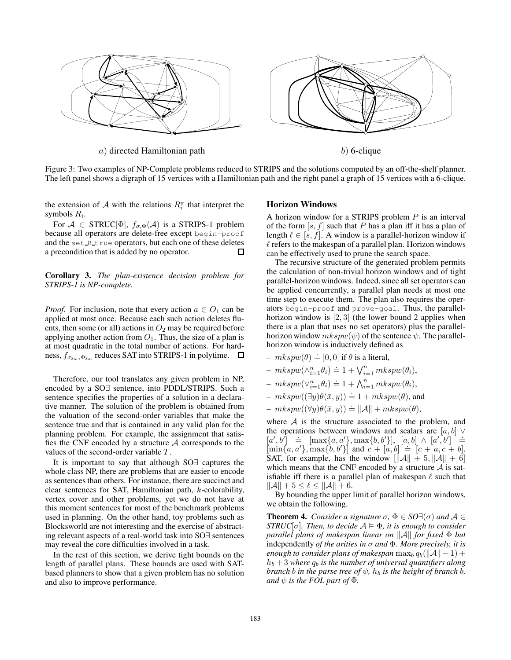

Figure 3: Two examples of NP-Complete problems reduced to STRIPS and the solutions computed by an off-the-shelf planner. The left panel shows a digraph of 15 vertices with a Hamiltonian path and the right panel a graph of 15 vertices with a 6-clique.

the extension of A with the relations  $R_i^{\pi}$  that interpret the symbols  $R_i$ .

For  $A \in \text{STRUC}[\Phi]$ ,  $f_{\sigma, \Phi}(A)$  is a STRIPS-1 problem because all operators are delete-free except begin-proof and the set\_R\_true operators, but each one of these deletes a precondition that is added by no operator.  $\Box$ 

Corollary 3. *The plan-existence decision problem for STRIPS-1 is NP-complete.*

*Proof.* For inclusion, note that every action  $a \in O_1$  can be applied at most once. Because each such action deletes fluents, then some (or all) actions in  $O_2$  may be required before applying another action from  $O_1$ . Thus, the size of a plan is at most quadratic in the total number of actions. For hardness,  $f_{\sigma_{SAT}, \Phi_{SAT}}$  reduces SAT into STRIPS-1 in polytime.  $\Box$ 

Therefore, our tool translates any given problem in NP, encoded by a SO∃ sentence, into PDDL/STRIPS. Such a sentence specifies the properties of a solution in a declarative manner. The solution of the problem is obtained from the valuation of the second-order variables that make the sentence true and that is contained in any valid plan for the planning problem. For example, the assignment that satisfies the CNF encoded by a structure  $A$  corresponds to the values of the second-order variable T .

It is important to say that although SO∃ captures the whole class NP, there are problems that are easier to encode as sentences than others. For instance, there are succinct and clear sentences for SAT, Hamiltonian path, k-colorability, vertex cover and other problems, yet we do not have at this moment sentences for most of the benchmark problems used in planning. On the other hand, toy problems such as Blocksworld are not interesting and the exercise of abstracting relevant aspects of a real-world task into SO∃ sentences may reveal the core difficulties involved in a task.

In the rest of this section, we derive tight bounds on the length of parallel plans. These bounds are used with SATbased planners to show that a given problem has no solution and also to improve performance.

### Horizon Windows

A horizon window for a STRIPS problem  $P$  is an interval of the form  $[s, f]$  such that P has a plan iff it has a plan of length  $\ell \in [s, f]$ . A window is a parallel-horizon window if  $\ell$  refers to the makespan of a parallel plan. Horizon windows can be effectively used to prune the search space.

The recursive structure of the generated problem permits the calculation of non-trivial horizon windows and of tight parallel-horizon windows. Indeed, since all set operators can be applied concurrently, a parallel plan needs at most one time step to execute them. The plan also requires the operators begin-proof and prove-goal. Thus, the parallelhorizon window is  $[2,3]$  (the lower bound 2 applies when there is a plan that uses no set operators) plus the parallelhorizon window  $mkspw(\psi)$  of the sentence  $\psi$ . The parallelhorizon window is inductively defined as

 $mkspw(\theta) \doteq [0, 0]$  if  $\theta$  is a literal,

$$
- mkspw(\wedge_{i=1}^n \theta_i) \stackrel{\cdot}{=} 1 + \bigvee_{i=1}^n mkspw(\theta_i),
$$

- $-mkspw(\vee_{i=1}^{n}\theta_i)\doteq 1+\bigwedge_{i=1}^{n}mkspw(\theta_i),$
- $mkspw((\exists y)\theta(\bar{x}, y)) \doteq 1 + mkspw(\theta)$ , and
- $-mkspw((\forall y)\theta(\bar{x},y)) \doteq ||\mathcal{A}|| + mkspw(\theta),$

where  $A$  is the structure associated to the problem, and the operations between windows and scalars are  $[a, b]$   $\vee$  $[a, b] \neq [max\{a, a'\}, max\{b, b'\}], [a, b] \wedge [a', b'] \stackrel{d}{=}$  $[a, b] = \max\{a, a', \max\{b, b'\}\}\$  and  $c + [a, b] = [c + a, c + b].$ SAT, for example, has the window  $\|\mathcal{A}\| + 5, \|\mathcal{A}\| + 6\|$ which means that the CNF encoded by a structure  $A$  is satisfiable iff there is a parallel plan of makespan  $\ell$  such that  $\|\mathcal{A}\| + 5 \leq \ell \leq \|\mathcal{A}\| + 6.$ 

By bounding the upper limit of parallel horizon windows, we obtain the following.

**Theorem 4.** *Consider a signature*  $\sigma$ ,  $\Phi \in SO(\mathcal{A})$  *and*  $\mathcal{A} \in$ *STRUC*[ $\sigma$ ]*. Then, to decide*  $A \models \Phi$ *, it is enough to consider parallel plans of makespan linear on*  $||A||$  *for fixed* Φ *but* independently *of the arities in* σ *and* Φ*. More precisely, it is enough to consider plans of makespan*  $\max_b q_b(||\mathcal{A}|| - 1) +$  $h_b + 3$  *where*  $q_b$  *is the number of universal quantifiers along branch b in the parse tree of*  $\psi$ *,*  $h_b$  *is the height of branch b*, *and*  $\psi$  *is the FOL part of*  $\Phi$ *.*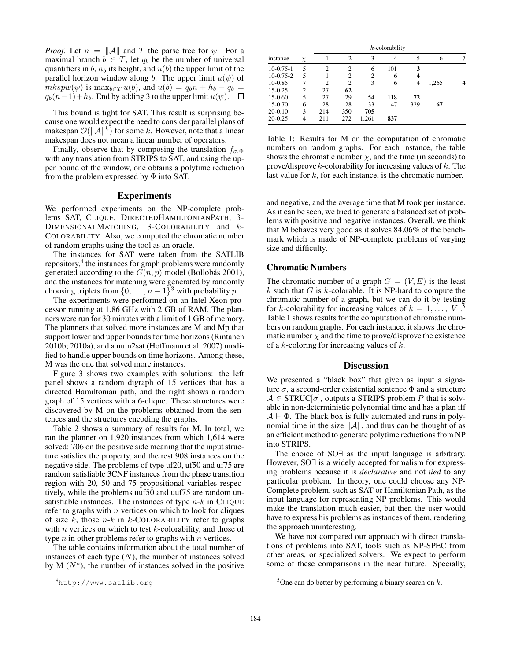*Proof.* Let  $n = ||A||$  and T the parse tree for  $\psi$ . For a maximal branch  $b \in T$ , let  $q_b$  be the number of universal quantifiers in  $b$ ,  $h_b$  its height, and  $u(b)$  the upper limit of the parallel horizon window along b. The upper limit  $u(\psi)$  of  $mkspw(\psi)$  is  $\max_{b \in T} u(b)$ , and  $u(b) = q_b n + h_b - q_b =$  $q_b(n-1)+h_b$ . End by adding 3 to the upper limit  $u(\psi)$ .  $\Box$ 

This bound is tight for SAT. This result is surprising because one would expect the need to consider parallel plans of makespan  $\mathcal{O}(\Vert \mathcal{A} \Vert^{k})$  for some k. However, note that a linear makespan does not mean a linear number of operators.

Finally, observe that by composing the translation  $f_{\sigma,\Phi}$ with any translation from STRIPS to SAT, and using the upper bound of the window, one obtains a polytime reduction from the problem expressed by Φ into SAT.

# Experiments

We performed experiments on the NP-complete problems SAT, CLIQUE, DIRECTEDHAMILTONIANPATH, 3- DIMENSIONALMATCHING, 3-COLORABILITY and k-COLORABILITY. Also, we computed the chromatic number of random graphs using the tool as an oracle.

The instances for SAT were taken from the SATLIB repository,<sup>4</sup> the instances for graph problems were randomly generated according to the  $G(n, p)$  model (Bollobás 2001), and the instances for matching were generated by randomly choosing triplets from  $\{0, \ldots, n-1\}^3$  with probability p.

The experiments were performed on an Intel Xeon processor running at 1.86 GHz with 2 GB of RAM. The planners were run for 30 minutes with a limit of 1 GB of memory. The planners that solved more instances are M and Mp that support lower and upper bounds for time horizons (Rintanen 2010b; 2010a), and a num2sat (Hoffmann et al. 2007) modified to handle upper bounds on time horizons. Among these, M was the one that solved more instances.

Figure 3 shows two examples with solutions: the left panel shows a random digraph of 15 vertices that has a directed Hamiltonian path, and the right shows a random graph of 15 vertices with a 6-clique. These structures were discovered by M on the problems obtained from the sentences and the structures encoding the graphs.

Table 2 shows a summary of results for M. In total, we ran the planner on 1,920 instances from which 1,614 were solved: 706 on the positive side meaning that the input structure satisfies the property, and the rest 908 instances on the negative side. The problems of type uf20, uf50 and uf75 are random satisfiable 3CNF instances from the phase transition region with 20, 50 and 75 propositional variables respectively, while the problems uuf50 and uuf75 are random unsatisfiable instances. The instances of type  $n-k$  in CLIQUE refer to graphs with  $n$  vertices on which to look for cliques of size k, those  $n-k$  in k-COLORABILITY refer to graphs with *n* vertices on which to test  $k$ -colorability, and those of type  $n$  in other problems refer to graphs with  $n$  vertices.

The table contains information about the total number of instances of each type  $(N)$ , the number of instances solved by M  $(N^*)$ , the number of instances solved in the positive

| instance    | $\chi$ | $k$ -colorability |                |                |     |     |       |  |  |
|-------------|--------|-------------------|----------------|----------------|-----|-----|-------|--|--|
|             |        |                   | $\overline{c}$ | 3              | 4   | 5   | 6     |  |  |
| $10-0.75-1$ | 5      | $\overline{c}$    | $\overline{c}$ | 6              | 101 | 3   |       |  |  |
| $10-0.75-2$ | 5      |                   | $\overline{c}$ | $\overline{c}$ | 6   | 4   |       |  |  |
| 10-0.85     | 7      | $\overline{c}$    | $\overline{c}$ | 3              | 6   | 4   | 1,265 |  |  |
| 15-0.25     | 2      | 27                | 62             |                |     |     |       |  |  |
| 15-0.60     | 5      | 27                | 29             | 54             | 118 | 72  |       |  |  |
| 15-0.70     | 6      | 28                | 28             | 33             | 47  | 329 | 67    |  |  |
| $20-0.10$   | 3      | 214               | 350            | 705            |     |     |       |  |  |
| $20-0.25$   | 4      | 211               | 272            | 1,261          | 837 |     |       |  |  |

Table 1: Results for M on the computation of chromatic numbers on random graphs. For each instance, the table shows the chromatic number  $\chi$ , and the time (in seconds) to prove/disprove  $k$ -colorability for increasing values of  $k$ . The last value for  $k$ , for each instance, is the chromatic number.

and negative, and the average time that M took per instance. As it can be seen, we tried to generate a balanced set of problems with positive and negative instances. Overall, we think that M behaves very good as it solves 84.06% of the benchmark which is made of NP-complete problems of varying size and difficulty.

### Chromatic Numbers

The chromatic number of a graph  $G = (V, E)$  is the least  $k$  such that  $G$  is  $k$ -colorable. It is NP-hard to compute the chromatic number of a graph, but we can do it by testing for k-colorability for increasing values of  $k = 1, \ldots, |V|$ . Table 1 shows results for the computation of chromatic numbers on random graphs. For each instance, it shows the chromatic number  $\chi$  and the time to prove/disprove the existence of a k-coloring for increasing values of  $k$ .

# **Discussion**

We presented a "black box" that given as input a signature  $\sigma$ , a second-order existential sentence  $\Phi$  and a structure  $A \in \text{STRUC}[\sigma]$ , outputs a STRIPS problem P that is solvable in non-deterministic polynomial time and has a plan iff  $A \models \Phi$ . The black box is fully automated and runs in polynomial time in the size  $\|\mathcal{A}\|$ , and thus can be thought of as an efficient method to generate polytime reductions from NP into STRIPS.

The choice of SO∃ as the input language is arbitrary. However, SO∃ is a widely accepted formalism for expressing problems because it is *declarative* and not *tied* to any particular problem. In theory, one could choose any NP-Complete problem, such as SAT or Hamiltonian Path, as the input language for representing NP problems. This would make the translation much easier, but then the user would have to express his problems as instances of them, rendering the approach uninteresting.

We have not compared our approach with direct translations of problems into SAT, tools such as NP-SPEC from other areas, or specialized solvers. We expect to perform some of these comparisons in the near future. Specially,

<sup>4</sup>http://www.satlib.org

<sup>&</sup>lt;sup>5</sup>One can do better by performing a binary search on  $k$ .